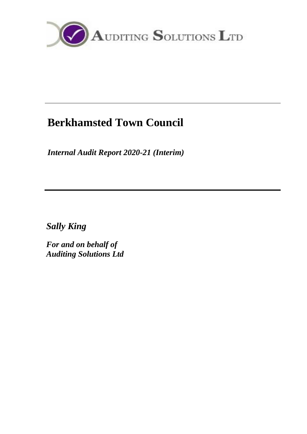

# **Berkhamsted Town Council**

*Internal Audit Report 2020-21 (Interim)*

*Sally King*

*For and on behalf of Auditing Solutions Ltd*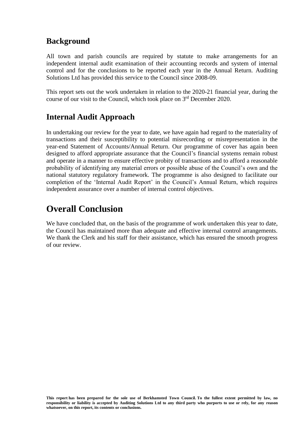## **Background**

All town and parish councils are required by statute to make arrangements for an independent internal audit examination of their accounting records and system of internal control and for the conclusions to be reported each year in the Annual Return. Auditing Solutions Ltd has provided this service to the Council since 2008-09.

This report sets out the work undertaken in relation to the 2020-21 financial year, during the course of our visit to the Council, which took place on 3<sup>rd</sup> December 2020.

## **Internal Audit Approach**

In undertaking our review for the year to date, we have again had regard to the materiality of transactions and their susceptibility to potential misrecording or misrepresentation in the year-end Statement of Accounts/Annual Return. Our programme of cover has again been designed to afford appropriate assurance that the Council's financial systems remain robust and operate in a manner to ensure effective probity of transactions and to afford a reasonable probability of identifying any material errors or possible abuse of the Council's own and the national statutory regulatory framework. The programme is also designed to facilitate our completion of the 'Internal Audit Report' in the Council's Annual Return, which requires independent assurance over a number of internal control objectives.

## **Overall Conclusion**

We have concluded that, on the basis of the programme of work undertaken this year to date, the Council has maintained more than adequate and effective internal control arrangements. We thank the Clerk and his staff for their assistance, which has ensured the smooth progress of our review.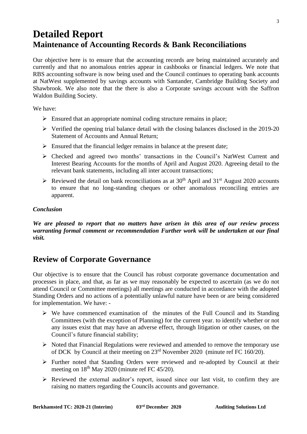## **Detailed Report Maintenance of Accounting Records & Bank Reconciliations**

Our objective here is to ensure that the accounting records are being maintained accurately and currently and that no anomalous entries appear in cashbooks or financial ledgers. We note that RBS accounting software is now being used and the Council continues to operating bank accounts at NatWest supplemented by savings accounts with Santander, Cambridge Building Society and Shawbrook. We also note that the there is also a Corporate savings account with the Saffron Waldon Building Society.

We have:

- $\triangleright$  Ensured that an appropriate nominal coding structure remains in place;
- ➢ Verified the opening trial balance detail with the closing balances disclosed in the 2019-20 Statement of Accounts and Annual Return;
- $\triangleright$  Ensured that the financial ledger remains in balance at the present date;
- ➢ Checked and agreed two months' transactions in the Council's NatWest Current and Interest Bearing Accounts for the months of April and August 2020. Agreeing detail to the relevant bank statements, including all inter account transactions;
- $\triangleright$  Reviewed the detail on bank reconciliations as at 30<sup>th</sup> April and 31<sup>st</sup> August 2020 accounts to ensure that no long-standing cheques or other anomalous reconciling entries are apparent.

#### *Conclusion*

*We are pleased to report that no matters have arisen in this area of our review process warranting formal comment or recommendation Further work will be undertaken at our final visit.*

## **Review of Corporate Governance**

Our objective is to ensure that the Council has robust corporate governance documentation and processes in place, and that, as far as we may reasonably be expected to ascertain (as we do not attend Council or Committee meetings) all meetings are conducted in accordance with the adopted Standing Orders and no actions of a potentially unlawful nature have been or are being considered for implementation. We have: -

- $\triangleright$  We have commenced examination of the minutes of the Full Council and its Standing Committees (with the exception of Planning) for the current year. to identify whether or not any issues exist that may have an adverse effect, through litigation or other causes, on the Council's future financial stability;
- ➢ Noted that Financial Regulations were reviewed and amended to remove the temporary use of DCK by Council at their meeting on 23rd November 2020 (minute ref FC 160/20).
- ➢ Further noted that Standing Orders were reviewed and re-adopted by Council at their meeting on  $18<sup>th</sup>$  May 2020 (minute ref FC 45/20).
- ➢ Reviewed the external auditor's report, issued since our last visit, to confirm they are raising no matters regarding the Councils accounts and governance.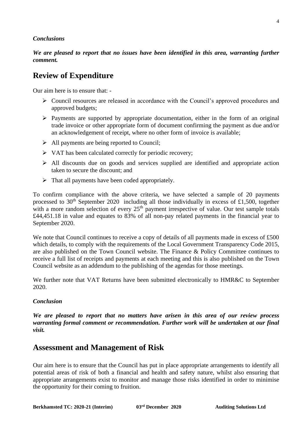#### *Conclusions*

*We are pleased to report that no issues have been identified in this area, warranting further comment.* 

### **Review of Expenditure**

Our aim here is to ensure that: -

- ➢ Council resources are released in accordance with the Council's approved procedures and approved budgets;
- ➢ Payments are supported by appropriate documentation, either in the form of an original trade invoice or other appropriate form of document confirming the payment as due and/or an acknowledgement of receipt, where no other form of invoice is available;
- ➢ All payments are being reported to Council;
- ➢ VAT has been calculated correctly for periodic recovery;
- ➢ All discounts due on goods and services supplied are identified and appropriate action taken to secure the discount; and
- $\triangleright$  That all payments have been coded appropriately.

To confirm compliance with the above criteria, we have selected a sample of 20 payments processed to  $30<sup>th</sup>$  September 2020 including all those individually in excess of £1,500, together with a more random selection of every  $25<sup>th</sup>$  payment irrespective of value. Our test sample totals £44,451.18 in value and equates to 83% of all non-pay related payments in the financial year to September 2020.

We note that Council continues to receive a copy of details of all payments made in excess of £500 which details, to comply with the requirements of the Local Government Transparency Code 2015, are also published on the Town Council website. The Finance & Policy Committee continues to receive a full list of receipts and payments at each meeting and this is also published on the Town Council website as an addendum to the publishing of the agendas for those meetings.

We further note that VAT Returns have been submitted electronically to HMR&C to September 2020.

#### *Conclusion*

*We are pleased to report that no matters have arisen in this area of our review process warranting formal comment or recommendation. Further work will be undertaken at our final visit.*

### **Assessment and Management of Risk**

Our aim here is to ensure that the Council has put in place appropriate arrangements to identify all potential areas of risk of both a financial and health and safety nature, whilst also ensuring that appropriate arrangements exist to monitor and manage those risks identified in order to minimise the opportunity for their coming to fruition.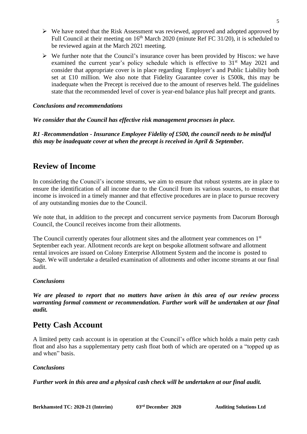- $\triangleright$  We have noted that the Risk Assessment was reviewed, approved and adopted approved by Full Council at their meeting on  $16<sup>th</sup>$  March 2020 (minute Ref FC 31/20), it is scheduled to be reviewed again at the March 2021 meeting.
- $\triangleright$  We further note that the Council's insurance cover has been provided by Hiscox: we have examined the current year's policy schedule which is effective to 31<sup>st</sup> May 2021 and consider that appropriate cover is in place regarding Employer's and Public Liability both set at £10 million. We also note that Fidelity Guarantee cover is £500k, this may be inadequate when the Precept is received due to the amount of reserves held. The guidelines state that the recommended level of cover is year-end balance plus half precept and grants.

#### *Conclusions and recommendations*

*We consider that the Council has effective risk management processes in place.*

*R1 -Recommendation - Insurance Employee Fidelity of £500, the council needs to be mindful this may be inadequate cover at when the precept is received in April & September.*

## **Review of Income**

In considering the Council's income streams, we aim to ensure that robust systems are in place to ensure the identification of all income due to the Council from its various sources, to ensure that income is invoiced in a timely manner and that effective procedures are in place to pursue recovery of any outstanding monies due to the Council.

We note that, in addition to the precept and concurrent service payments from Dacorum Borough Council, the Council receives income from their allotments.

The Council currently operates four allotment sites and the allotment year commences on 1<sup>st</sup> September each year. Allotment records are kept on bespoke allotment software and allotment rental invoices are issued on Colony Enterprise Allotment System and the income is posted to Sage. We will undertake a detailed examination of allotments and other income streams at our final audit.

#### *Conclusions*

*We are pleased to report that no matters have arisen in this area of our review process warranting formal comment or recommendation. Further work will be undertaken at our final audit.*

## **Petty Cash Account**

A limited petty cash account is in operation at the Council's office which holds a main petty cash float and also has a supplementary petty cash float both of which are operated on a "topped up as and when" basis.

#### *Conclusions*

*Further work in this area and a physical cash check will be undertaken at our final audit.*